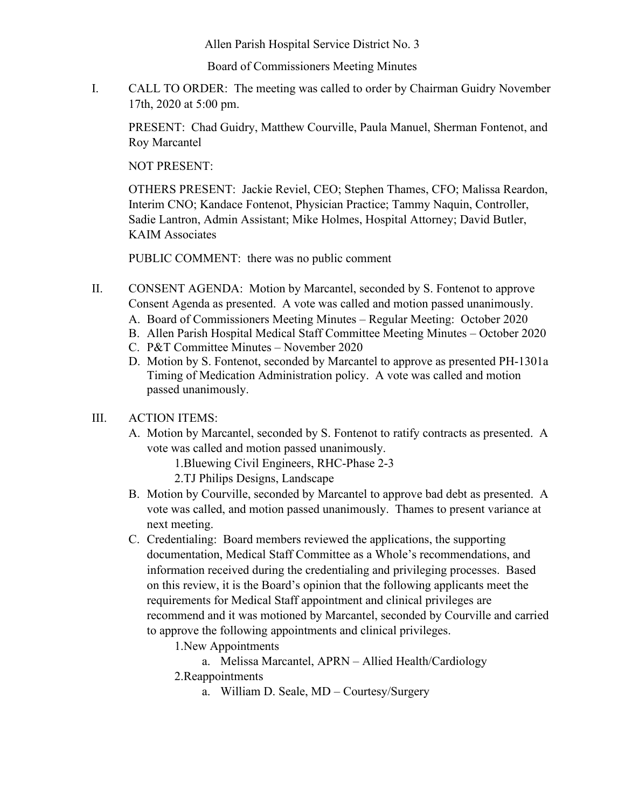Allen Parish Hospital Service District No. 3

Board of Commissioners Meeting Minutes

I. CALL TO ORDER: The meeting was called to order by Chairman Guidry November 17th, 2020 at 5:00 pm.

PRESENT: Chad Guidry, Matthew Courville, Paula Manuel, Sherman Fontenot, and Roy Marcantel

NOT PRESENT:

OTHERS PRESENT: Jackie Reviel, CEO; Stephen Thames, CFO; Malissa Reardon, Interim CNO; Kandace Fontenot, Physician Practice; Tammy Naquin, Controller, Sadie Lantron, Admin Assistant; Mike Holmes, Hospital Attorney; David Butler, KAIM Associates

PUBLIC COMMENT: there was no public comment

- II. CONSENT AGENDA: Motion by Marcantel, seconded by S. Fontenot to approve Consent Agenda as presented. A vote was called and motion passed unanimously.
	- A. Board of Commissioners Meeting Minutes Regular Meeting: October 2020
	- B. Allen Parish Hospital Medical Staff Committee Meeting Minutes October 2020
	- C. P&T Committee Minutes November 2020
	- D. Motion by S. Fontenot, seconded by Marcantel to approve as presented PH-1301a Timing of Medication Administration policy. A vote was called and motion passed unanimously.

## III. ACTION ITEMS:

- A. Motion by Marcantel, seconded by S. Fontenot to ratify contracts as presented. A vote was called and motion passed unanimously.
	- 1.Bluewing Civil Engineers, RHC-Phase 2-3
	- 2.TJ Philips Designs, Landscape
- B. Motion by Courville, seconded by Marcantel to approve bad debt as presented. A vote was called, and motion passed unanimously. Thames to present variance at next meeting.
- C. Credentialing: Board members reviewed the applications, the supporting documentation, Medical Staff Committee as a Whole's recommendations, and information received during the credentialing and privileging processes. Based on this review, it is the Board's opinion that the following applicants meet the requirements for Medical Staff appointment and clinical privileges are recommend and it was motioned by Marcantel, seconded by Courville and carried to approve the following appointments and clinical privileges.

1.New Appointments

a. Melissa Marcantel, APRN – Allied Health/Cardiology

2.Reappointments

a. William D. Seale, MD – Courtesy/Surgery